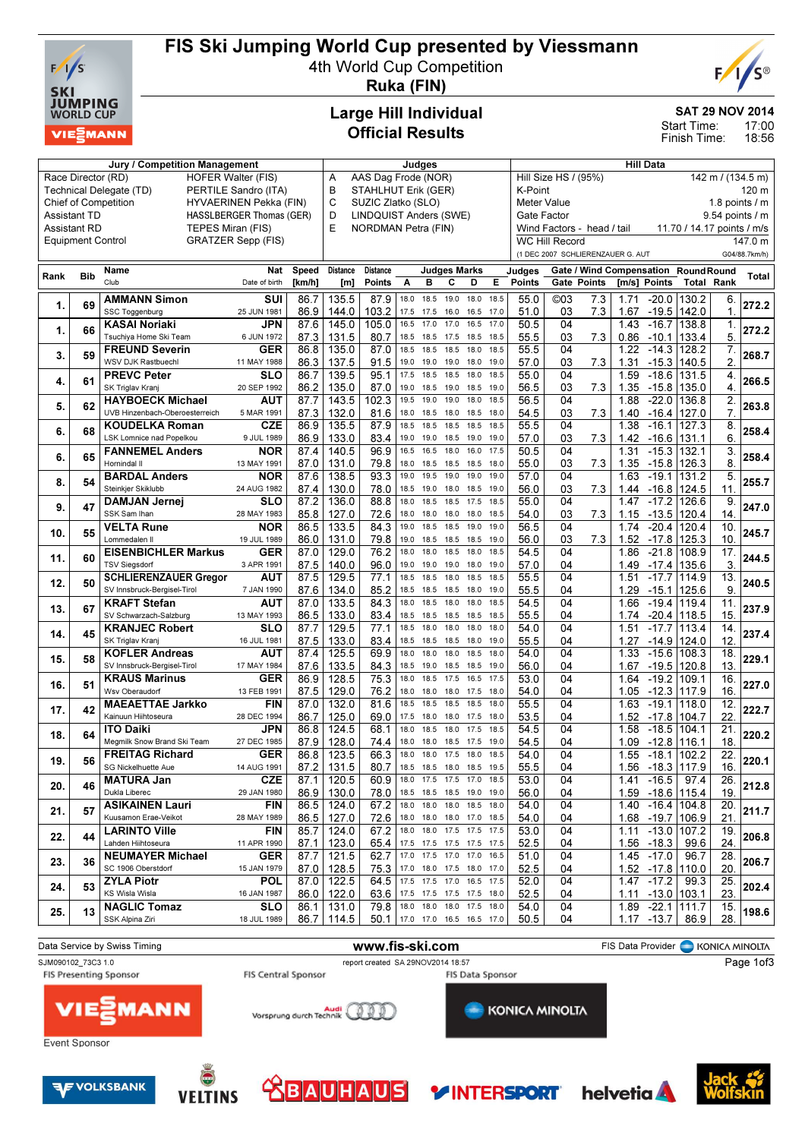

### FIS Ski Jumping World Cup presented by Viessmann

4th World Cup Competition



Ruka (FIN)

Jury / Competition Management de Late and Judges and Hill Data

#### Large Hill Individual Official Results

SAT 29 NOV 2014

17:00 18:56 Start Time: Finish Time:

| Race Director (RD)                                    |            | <b>HOFER Walter (FIS)</b><br>Technical Delegate (TD)<br>PERTILE Sandro (ITA) | AAS Dag Frode (NOR)<br>Α<br>B<br>STAHLHUT Erik (GER) |                         |                                                            |                                                                |              |                          | Hill Size HS / (95%)<br>142 m / (134.5 m)<br>K-Point |                                 |                                                          |                                |             |            |              | 120 m                                   |                                                          |                          |              |
|-------------------------------------------------------|------------|------------------------------------------------------------------------------|------------------------------------------------------|-------------------------|------------------------------------------------------------|----------------------------------------------------------------|--------------|--------------------------|------------------------------------------------------|---------------------------------|----------------------------------------------------------|--------------------------------|-------------|------------|--------------|-----------------------------------------|----------------------------------------------------------|--------------------------|--------------|
|                                                       |            | <b>Chief of Competition</b><br>HYVAERINEN Pekka (FIN)                        |                                                      | С<br>SUZIC Zlatko (SLO) |                                                            |                                                                |              |                          |                                                      | Meter Value<br>1.8 points $/$ m |                                                          |                                |             |            |              |                                         |                                                          |                          |              |
| <b>Assistant TD</b>                                   |            |                                                                              | HASSLBERGER Thomas (GER)                             |                         | D<br><b>LINDQUIST Anders (SWE)</b>                         |                                                                |              |                          |                                                      |                                 |                                                          | Gate Factor<br>9.54 points / m |             |            |              |                                         |                                                          |                          |              |
| TEPES Miran (FIS)<br><b>Assistant RD</b>              |            |                                                                              |                                                      |                         | E<br>NORDMAN Petra (FIN)                                   |                                                                |              |                          |                                                      |                                 | Wind Factors - head / tail<br>11.70 / 14.17 points / m/s |                                |             |            |              |                                         |                                                          |                          |              |
| <b>Equipment Control</b><br><b>GRATZER Sepp (FIS)</b> |            |                                                                              |                                                      |                         | <b>WC Hill Record</b><br>(1 DEC 2007 SCHLIERENZAUER G. AUT |                                                                |              |                          |                                                      |                                 |                                                          |                                |             |            |              |                                         |                                                          | 147.0 m<br>G04/88.7km/h) |              |
|                                                       |            |                                                                              |                                                      |                         |                                                            |                                                                |              |                          |                                                      |                                 |                                                          |                                |             |            |              |                                         |                                                          |                          |              |
| Rank                                                  | <b>Bib</b> | Name<br>Club                                                                 | Nat<br>Date of birth                                 | <b>Speed</b><br>[km/h]  | <b>Distance</b><br>[m]                                     | <b>Distance</b><br><b>Points</b>                               | A            | <b>Judges Marks</b><br>в | c                                                    | D                               | Е                                                        | Judges<br>Points               | Gate Points |            |              | [m/s] Points                            | Gate / Wind Compensation RoundRound<br><b>Total Rank</b> |                          | <b>Total</b> |
|                                                       |            |                                                                              |                                                      |                         |                                                            |                                                                |              |                          |                                                      |                                 |                                                          |                                |             |            |              |                                         |                                                          |                          |              |
| 1.                                                    | 69         | AMMANN Simon<br>SSC Toggenburg                                               | SUI<br>25 JUN 1981                                   | 86.7<br>86.9            | 135.5<br>144.0                                             | 87.9<br>103.2                                                  | 18.0<br>17.5 | 18.5<br>17.5             | 19.0<br>16.0                                         | 18.0<br>16.5                    | 18.5<br>17.0                                             | 55.0<br>51.0                   | ©03<br>03   | 7.3<br>7.3 | 1.71<br>1.67 | $-20.0$<br>$-19.5$                      | 130.2<br>142.0                                           | 6.<br>1.                 | 272.2        |
|                                                       |            | KASAI Noriaki                                                                | JPN                                                  | 87.6                    | 145.0                                                      | 105.0                                                          | 16.5         | 17.0                     | 17.0                                                 | 16.5                            | 17.0                                                     | 50.5                           | 04          |            | 1.43         | $-16.7$                                 | 138.8                                                    | 1.                       |              |
| 1.                                                    | 66         | Tsuchiya Home Ski Team                                                       | 6 JUN 1972                                           | 87.3                    | 131.5                                                      | 80.7                                                           | 18.5         | 18.5                     | 17.5                                                 | 18.5                            | 18.5                                                     | 55.5                           | 03          | 7.3        | 0.86         | $-10.1$                                 | 133.4                                                    | 5.                       | 272.2        |
|                                                       | 59         | <b>FREUND Severin</b>                                                        | <b>GER</b>                                           | 86.8                    | 135.0                                                      | 87.0                                                           | 18.5         | 18.5                     | 18.5                                                 | 18.0                            | 18.5                                                     | 55.5                           | 04          |            | 1.22         | $-14.3$                                 | 128.2                                                    | 7.                       | 268.7        |
| 3.                                                    |            | WSV DJK Rastbuechl                                                           | 11 MAY 1988                                          | 86.3                    | 137.5                                                      | 91.5                                                           | 19.0         | 19.0                     | 19.0                                                 | 18.0                            | 19.0                                                     | 57.0                           | 03          | 7.3        | 1.31         | $-15.3$                                 | 140.5                                                    | 2.                       |              |
| 4.                                                    | 61         | <b>PREVC Peter</b>                                                           | SLO                                                  | 86.7                    | 139.5                                                      | 95.1                                                           | 17.5         | 18.5                     | 18.5                                                 | 18.0                            | 18.5                                                     | 55.0                           | 04          |            | 1.59         | $-18.6$                                 | 131.5                                                    | 4.                       | 266.5        |
|                                                       |            | SK Triglav Kranj                                                             | 20 SEP 1992                                          | 86.2                    | 135.0                                                      | 87.0                                                           | 19.0         | 18.5                     | 19.0 18.5                                            |                                 | 19.0                                                     | 56.5                           | 03          | 7.3        | 1.35         | -15.8                                   | 135.0                                                    | 4.                       |              |
| 5.                                                    | 62         | <b>HAYBOECK Michael</b><br>UVB Hinzenbach-Oberoesterreich                    | AUT<br>5 MAR 1991                                    | 87.7<br>87.3            | 143.5<br>132.0                                             | 102.3<br>81.6                                                  | 19.5<br>18.0 | 19.0<br>18.5             | 19.0<br>18.0                                         | 18.0<br>18.5                    | 18.5<br>18.0                                             | 56.5<br>54.5                   | 04<br>03    | 7.3        | 1.88<br>1.40 | $-22.0$<br>$-16.4$                      | 136.8<br>127.0                                           | 2.<br>7.                 | 263.8        |
|                                                       |            | <b>KOUDELKA Roman</b>                                                        | <b>CZE</b>                                           | 86.9                    | 135.5                                                      | 87.9                                                           | 18.5         | 18.5                     | 18.5                                                 | 18.5                            | 18.5                                                     | 55.5                           | 04          |            | 1.38         | $-16.1$                                 | 127.3                                                    | 8.                       |              |
| 6.                                                    | 68         | LSK Lomnice nad Popelkou                                                     | 9 JUL 1989                                           | 86.9                    | 133.0                                                      | 83.4                                                           | 19.0         | 19.0                     | 18.5                                                 | 19.0                            | 19.0                                                     | 57.0                           | 03          | 7.3        | 1.42         | -16.6                                   | 131.1                                                    | 6.                       | 258.4        |
|                                                       |            | <b>FANNEMEL Anders</b>                                                       | NOR                                                  | 87.4                    | 140.5                                                      | 96.9                                                           | 16.5         | 16.5                     | 18.0                                                 | 16.0                            | 17.5                                                     | 50.5                           | 04          |            | 1.31         | $-15.3$                                 | 132.1                                                    | 3.                       |              |
| 6.                                                    | 65         | Hornindal II                                                                 | 13 MAY 1991                                          | 87.0                    | 131.0                                                      | 79.8                                                           | 18.0         | 18.5                     | 18.5                                                 | 18.5                            | 18.0                                                     | 55.0                           | 03          | 7.3        | 1.35         | $-15.8$                                 | 126.3                                                    | 8.                       | 258.4        |
| 8.                                                    | 54         | <b>BARDAL Anders</b>                                                         | NOR                                                  | 87.6                    | 138.5                                                      | 93.3                                                           | 19.0         | 19.5                     | 19.0                                                 | 19.0                            | 19.0                                                     | 57.0                           | 04          |            | 1.63         | $-19.1$                                 | 131.2                                                    | 5                        | 255.7        |
|                                                       |            | Steinkjer Skiklubb                                                           | 24 AUG 1982                                          | 87.4                    | 130.0                                                      | 78.0                                                           | 18.5         | 19.0                     | 18.0                                                 | 18.5                            | 19.0                                                     | 56.0                           | 03          | 7.3        | 1.44         | $-16.8$                                 | 124.5                                                    | 11                       |              |
| 9.                                                    | 47         | DAMJAN Jernej                                                                | SLO                                                  | 87.2                    | 136.0                                                      | 88.8                                                           | 18.0         | 18.5                     | 18.5                                                 | 17.5                            | 18.5                                                     | 55.0                           | 04          |            | 1.47         | $-17.2$                                 | 126.6                                                    | 9                        | 247.0        |
|                                                       |            | SSK Sam Ihan<br><b>VELTA Rune</b>                                            | 28 MAY 1983<br>NOR                                   | 85.8<br>86.5            | 127.0<br>133.5                                             | 72.6<br>84.3                                                   | 18.0<br>19.0 | 18.0<br>18.5             | 18.0<br>18.5                                         | 18.0<br>19.0                    | 18.5<br>19.0                                             | 54.0<br>56.5                   | 03<br>04    | 7.3        | 1.15<br>1.74 | $-13.5$<br>$-20.4$                      | 120.4<br>120.4                                           | 14.<br>10.               |              |
| 10.                                                   | 55         | Lommedalen II                                                                | 19 JUL 1989                                          | 86.0                    | 131.0                                                      | 79.8                                                           | 19.0         | 18.5                     | 18.5                                                 | 18.5                            | 19.0                                                     | 56.0                           | 03          | 7.3        | 1.52         | -17.8                                   | 125.3                                                    | 10.                      | 245.7        |
|                                                       |            | <b>EISENBICHLER Markus</b>                                                   | <b>GER</b>                                           | 87.0                    | 129.0                                                      | 76.2                                                           | 18.0         | 18.0                     | 18.5                                                 | 18.0                            | 18.5                                                     | 54.5                           | 04          |            | 1.86         | $-21.8$                                 | 108.9                                                    | 17.                      |              |
| 11.                                                   | 60         | <b>TSV Siegsdorf</b>                                                         | 3 APR 1991                                           | 87.5                    | 140.0                                                      | 96.0                                                           | 19.0         | 19.0                     | 19.0                                                 | 18.0                            | 19.0                                                     | 57.0                           | 04          |            |              | 1.49 - 17.4                             | 135.6                                                    | 3.                       | 244.5        |
| 12.                                                   | 50         | <b>SCHLIERENZAUER Gregor</b>                                                 | AUT                                                  | 87.5                    | 129.5                                                      | 77.1                                                           | 18.5         | 18.5                     | 18.0                                                 | 18.5                            | 18.5                                                     | 55.5                           | 04          |            | 1.51         | $-17.7$                                 | 114.9                                                    | 13.                      | 240.5        |
|                                                       |            | SV Innsbruck-Bergisel-Tirol                                                  | 7 JAN 1990                                           | 87.6                    | 134.0                                                      | 85.2                                                           | 18.5         | 18.5                     | 18.5                                                 | 18.0                            | 19.0                                                     | 55.5                           | 04          |            | 1.29         | $-15.1$                                 | 125.6                                                    | 9.                       |              |
| 13.                                                   | 67         | <b>KRAFT Stefan</b>                                                          | AUT                                                  | 87.0                    | 133.5                                                      | 84.3                                                           | 18.0         | 18.5                     | 18.0                                                 | 18.0                            | 18.5                                                     | 54.5                           | 04          |            | 1.66         | $-19.4$                                 | 119.4                                                    | 11.                      | 237.9        |
|                                                       |            | SV Schwarzach-Salzburg<br><b>KRANJEC Robert</b>                              | 13 MAY 1993<br>SLO                                   | 86.5<br>87.7            | 133.0<br>129.5                                             | 83.4<br>77.1                                                   | 18.5<br>18.5 | 18.5<br>18.0             | 18.5<br>18.0                                         | 18.5<br>18.0                    | 18.5<br>18.0                                             | 55.5<br>54.0                   | 04<br>04    |            | 1.74<br>1.51 | $-20.4$<br>$-17.7$                      | 118.5<br>113.4                                           | 15.<br>14.               |              |
| 14.                                                   | 45         | SK Triglav Kranj                                                             | 16 JUL 1981                                          | 87.5                    | 133.0                                                      | 83.4                                                           | 18.5         | 18.5                     | 18.5                                                 | 18.0                            | 19.0                                                     | 55.5                           | 04          |            | 1.27         | -14.9                                   | 124.0                                                    | 12.                      | 237.4        |
|                                                       |            | <b>KOFLER Andreas</b>                                                        | AUT                                                  | 87.4                    | 125.5                                                      | 69.9                                                           | 18.0         | 18.0                     | 18.0                                                 | 18.5                            | 18.0                                                     | 54.0                           | 04          |            | 1.33         | $-15.6$                                 | 108.3                                                    | 18.                      |              |
| 15.                                                   | 58         | SV Innsbruck-Bergisel-Tirol                                                  | 17 MAY 1984                                          | 87.6                    | 133.5                                                      | 84.3                                                           | 18.5         | 19.0                     | 18.5                                                 | 18.5                            | 19.0                                                     | 56.0                           | 04          |            | 1.67         | $-19.5$                                 | 120.8                                                    | 13.                      | 229.1        |
| 16.                                                   | 51         | <b>KRAUS Marinus</b>                                                         | <b>GER</b>                                           | 86.9                    | 128.5                                                      | 75.3                                                           | 18.0         | 18.5                     | 17.5                                                 | 16.5                            | 17.5                                                     | 53.0                           | 04          |            | 1.64         | $-19.2$                                 | 109.1                                                    | 16.                      | 227.0        |
|                                                       |            | Wsv Oberaudorf                                                               | 13 FEB 1991                                          | 87.5                    | 129.0                                                      | 76.2                                                           | 18.0         | 18.0                     | 18.0                                                 | 17.5                            | 18.0                                                     | 54.0                           | 04          |            | 1.05         | $-12.3$                                 | 117.9                                                    | 16.                      |              |
| 17.                                                   | 42         | <b>MAEAETTAE Jarkko</b>                                                      | FIN                                                  | 87.0                    | 132.0                                                      | 81.6                                                           | 18.5         | 18.5                     | 18.5                                                 | 18.5                            | 18.0                                                     | 55.5                           | 04          |            | 1.63         | $-19.1$                                 | 118.0                                                    | 12                       | 222.7        |
|                                                       |            | Kainuun Hiihtoseura<br><b>ITO Daiki</b>                                      | 28 DEC 1994<br>JPN                                   | 86.7<br>86.8            | 125.0<br>124.5                                             | 69.0<br>68.1                                                   | 17.5<br>18.0 | 18.0<br>18.5             | 18.0<br>18.0                                         | 17.5<br>17.5                    | 18.0<br>18.5                                             | 53.5<br>54.5                   | 04<br>04    |            | 1.52<br>1.58 | $-17.8$<br>$-18.5$                      | 104.7<br>104.1                                           | 22<br>21.                |              |
| 18.                                                   | 64         | Megmilk Snow Brand Ski Team                                                  | 27 DEC 1985                                          | 87.9                    | 128.0                                                      | 74.4                                                           | 18.0         | 18.0                     | 18.5                                                 | 17.5                            | 19.0                                                     | 54.5                           | 04          |            | 1.09         | $-12.8$                                 | 116.1                                                    | 18.                      | 220.2        |
|                                                       |            | <b>FREITAG Richard</b>                                                       | <b>GER</b>                                           | 86.8                    | 123.5                                                      | 66.3                                                           | 18.0         | 18.0                     | 17.5                                                 | 18.0                            | 18.5                                                     | 54.0                           | 04          |            | 1.55         | $-18.1$                                 | 102.2                                                    | 22                       |              |
| 19.                                                   | 56         | SG Nickelhuette Aue                                                          | 14 AUG 1991                                          | 87.2                    | 131.5                                                      | 80.7                                                           |              | 18.5 18.5                |                                                      | 18.0 18.5 19.5                  |                                                          | 55.5                           | 04          |            | 1.56         | $-18.3$                                 | 117.9                                                    | 16.                      | 220.1        |
| 20.                                                   | 46         | <b>MATURA Jan</b>                                                            | <b>CZE</b>                                           | 87.1                    | 120.5                                                      | 60.9                                                           | 18.0 17.5    |                          |                                                      | 17.5 17.0 18.5                  |                                                          | 53.0                           | 04          |            |              | $1.41 - 16.5$                           | 97.4                                                     | 26.                      | 212.8        |
|                                                       |            | Dukla Liberec                                                                | 29 JAN 1980                                          |                         | 86.9   130.0                                               | 78.0 18.5 18.5 18.5 19.0 19.0                                  |              |                          |                                                      |                                 |                                                          | 56.0                           | 04          |            |              | 1.59 -18.6 115.4                        |                                                          | 19.                      |              |
| 21.                                                   | 57         | <b>ASIKAINEN Lauri</b>                                                       | <b>FIN</b>                                           | 86.5                    | 124.0                                                      | 67.2 18.0 18.0 18.0 18.5 18.0                                  |              |                          |                                                      |                                 |                                                          | 54.0                           | 04          |            |              |                                         | $1.40 - 16.4   104.8$                                    | 20.                      | 211.7        |
|                                                       |            | Kuusamon Erae-Veikot<br><b>LARINTO Ville</b>                                 | 28 MAY 1989<br><b>FIN</b>                            | 85.7                    | $86.5$   127.0<br>124.0                                    | 72.6 18.0 18.0 18.0 17.0 18.5<br>67.2 18.0 18.0 17.5 17.5 17.5 |              |                          |                                                      |                                 |                                                          | 54.0<br>53.0                   | 04<br>04    |            |              | 1.68 -19.7 106.9<br>$1.11 - 13.0$ 107.2 |                                                          | 21.<br>19.               |              |
| 22.                                                   | 44         | Lahden Hiihtoseura                                                           | 11 APR 1990                                          | 87.1                    | 123.0                                                      | 65.4 17.5 17.5 17.5 17.5 17.5                                  |              |                          |                                                      |                                 |                                                          | 52.5                           | 04          |            |              | $1.56 - 18.3$                           | 99.6                                                     | 24.                      | 206.8        |
|                                                       |            | <b>NEUMAYER Michael</b>                                                      | <b>GER</b>                                           | 87.7                    | 121.5                                                      | 62.7 17.0 17.5 17.0 17.0 16.5                                  |              |                          |                                                      |                                 |                                                          | 51.0                           | 04          |            |              | $1.45 - 17.0$                           | 96.7                                                     | 28.                      |              |
| 23.                                                   | 36         | SC 1906 Oberstdorf                                                           | 15 JAN 1979                                          |                         | $87.0$   128.5                                             | 75.3                                                           |              | 17.0 18.0 17.5 18.0 17.0 |                                                      |                                 |                                                          | 52.5                           | 04          |            |              | $1.52 - 17.8$                           | 110.0                                                    | 20.                      | 206.7        |
| 24.                                                   | 53         | <b>ZYLA Piotr</b>                                                            | <b>POL</b>                                           | 87.0                    | 122.5                                                      | 64.5 17.5 17.5 17.0 16.5 17.5                                  |              |                          |                                                      |                                 |                                                          | 52.0                           | 04          |            |              | $1.47 - 17.2$                           | 99.3                                                     | 25.                      | 202.4        |
|                                                       |            | KS Wisla Wisla                                                               | 16 JAN 1987                                          |                         | 86.0   122.0                                               | 63.6 17.5 17.5 17.5 17.5 18.0                                  |              |                          |                                                      |                                 |                                                          | 52.5                           | 04          |            |              | $1.11 - 13.0$ 103.1                     |                                                          | 23.                      |              |
| 25.                                                   | 13         | <b>NAGLIC Tomaz</b>                                                          | <b>SLO</b>                                           | $86.1$                  | 131.0                                                      | 79.8                                                           |              | 18.0 18.0 18.0 17.5 18.0 |                                                      |                                 |                                                          | 54.0                           | 04          |            |              | 1.89 -22.1                              | 111.7                                                    | 15.                      | 198.6        |
|                                                       |            | SSK Alpina Ziri                                                              | 18 JUL 1989                                          |                         | 86.7   114.5                                               | 50.1 17.0 17.0 16.5 16.5 17.0                                  |              |                          |                                                      |                                 |                                                          | 50.5                           | 04          |            |              | $1.17 - 13.7$                           | 86.9                                                     | 28.                      |              |
|                                                       |            |                                                                              |                                                      |                         |                                                            |                                                                |              |                          |                                                      |                                 |                                                          |                                |             |            |              |                                         |                                                          |                          |              |



**VELTINS** 

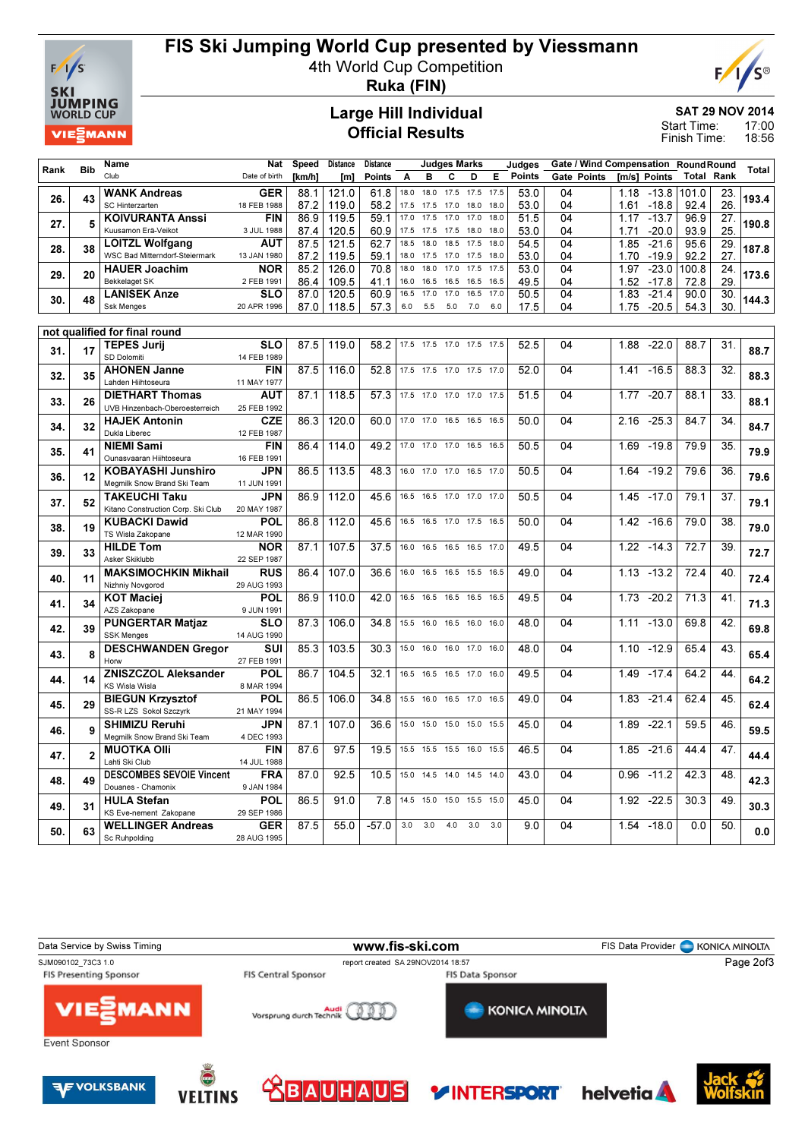

## FIS Ski Jumping World Cup presented by Viessmann

4th World Cup Competition



Ruka (FIN)

#### Large Hill Individual Official Results

SAT 29 NOV 2014

17:00 18:56 Start Time: Finish Time:

|      |                | <b>Name</b>                                     | <b>Nat</b>                | <b>Speed</b> | <b>Distance</b>   | <b>Distance</b> |              |              | <b>Judges Marks</b>      |              |              | Judges        |          |                    |              |                    | Gate / Wind Compensation RoundRound |                 |              |
|------|----------------|-------------------------------------------------|---------------------------|--------------|-------------------|-----------------|--------------|--------------|--------------------------|--------------|--------------|---------------|----------|--------------------|--------------|--------------------|-------------------------------------|-----------------|--------------|
| Rank | <b>Bib</b>     | Club                                            | Date of birth             | [km/h]       | [m]               | <b>Points</b>   | A            | в            | с                        | D            | Е            | <b>Points</b> |          | <b>Gate Points</b> |              | [m/s] Points       | Total                               | Rank            | <b>Total</b> |
|      |                | <b>WANK Andreas</b>                             | <b>GER</b>                | 88.1         | 121.0             | 61.8            | 18.0         | 18.0         | 17.5                     | 17.5         | 17.5         | 53.0          | 04       |                    | 1.18         | $-13.8$            | 101.0                               | 23.             |              |
| 26.  | 43             | SC Hinterzarten                                 | 18 FEB 1988               | 87.2         | 119.0             | 58.2            | 17.5         | 17.5         | 17.0                     | 18.0         | 18.0         | 53.0          | 04       |                    | 1.61         | $-18.8$            | 92.4                                | 26.             | 193.4        |
| 27.  | 5              | <b>KOIVURANTA Anssi</b>                         | <b>FIN</b>                | 86.9         | 119.5             | 59.1            | 17.0         | 17.5         | 17.0                     | 17.0         | 18.0         | 51.5          | 04       |                    | 1.17         | $-13.7$            | 96.9                                | 27.             | 190.8        |
|      |                | Kuusamon Erä-Veikot                             | 3 JUL 1988                | 87.4         | 120.5             | 60.9            | 17.5         | 17.5         | 17.5                     | 18.0         | 18.0         | 53.0          | 04       |                    | 1 7 1        | $-20.0$            | 93.9                                | 25.             |              |
| 28.  | 38             | <b>LOITZL Wolfgang</b>                          | <b>AUT</b>                | 87.5         | 121.5             | 62.7            | 18.5         | 18.0         | 18.5                     | 17.5         | 18.0         | 54.5          | 04       |                    | 1.85         | $-21.6$            | 95.6                                | 29.             | 187.8        |
|      |                | WSC Bad Mitterndorf-Steiermark                  | 13 JAN 1980               | 87.2         | 119.5             | 59.1            | 18.0         | 17.5         | 17.0                     | 17.5         | 18.0         | 53.0          | 04       |                    | 1.70         | $-19.9$            | 92.2                                | 27.             |              |
| 29.  | 20             | <b>HAUER Joachim</b>                            | <b>NOR</b>                | 85.2         | 126.0             | 70.8            | 18.0         | 18.0         | 17.0                     | 17.5         | 17.5         | 53.0          | 04       |                    | 1.97         | $-23.0$            | 00.8                                | 24.             | 173.6        |
|      |                | <b>Bekkelaget SK</b>                            | 2 FEB 1991<br><b>SLO</b>  | 86.4<br>87.0 | 109.5<br>120.5    | 41.1<br>60.9    | 16.0<br>16.5 | 16.5<br>17.0 | 16.5<br>17.0             | 16.5<br>16.5 | 16.5<br>17.0 | 49.5          | 04<br>04 |                    | 1.52<br>1.83 | $-17.8$            | 72.8<br>90.0                        | 29.<br>30.      |              |
| 30.  | 48             | <b>LANISEK Anze</b><br><b>Ssk Menges</b>        | 20 APR 1996               | 87.0         | 118.5             | 57.3            | 6.0          | 5.5          | 5.0                      | 7.0          | 6.0          | 50.5<br>17.5  | 04       |                    | 1.75         | $-21.4$<br>$-20.5$ | 54.3                                | 30.             | 144.3        |
|      |                |                                                 |                           |              |                   |                 |              |              |                          |              |              |               |          |                    |              |                    |                                     |                 |              |
|      |                | not qualified for final round                   |                           |              |                   |                 |              |              |                          |              |              |               |          |                    |              |                    |                                     |                 |              |
|      |                | <b>TEPES Jurii</b>                              | <b>SLO</b>                | 87.5         | 119.0             | 58.2            |              |              | 17.5 17.5 17.0 17.5 17.5 |              |              | 52.5          | 04       |                    | 1.88         | $-22.0$            | 88.7                                | 31.             |              |
| 31.  | 17             | SD Dolomiti                                     | 14 FEB 1989               |              |                   |                 |              |              |                          |              |              |               |          |                    |              |                    |                                     |                 | 88.7         |
| 32.  | 35             | <b>AHONEN Janne</b>                             | <b>FIN</b>                | 87.5         | 116.0             | 52.8            |              |              | 17.5 17.5 17.0 17.5 17.0 |              |              | 52.0          | 04       |                    | 1.41         | $-16.5$            | 88.3                                | 32.             | 88.3         |
|      |                | Lahden Hiihtoseura                              | 11 MAY 1977               |              |                   |                 |              |              |                          |              |              |               |          |                    |              |                    |                                     |                 |              |
| 33.  | 26             | <b>DIETHART Thomas</b>                          | <b>AUT</b>                | 87.1         | 118.5             | 57.3            | 17.5         | 17.0         | 17.0                     | 17.0         | 17.5         | 51.5          | 04       |                    | 1.77         | $-20.7$            | 88.1                                | 33.             | 88.1         |
|      |                | UVB Hinzenbach-Oberoesterreich                  | 25 FEB 1992               |              |                   |                 |              |              |                          |              |              |               |          |                    |              |                    |                                     |                 |              |
| 34.  | 32             | <b>HAJEK Antonin</b><br>Dukla Liberec           | <b>CZE</b><br>12 FEB 1987 | 86.3         | 120.0             | 60.0            | 17.0         | 17.0         | 16.5 16.5                |              | 16.5         | 50.0          | 04       |                    | 2.16         | $-25.3$            | 84.7                                | 34.             | 84.7         |
|      |                | <b>NIEMI Sami</b>                               | <b>FIN</b>                | 86.4         | 114.0             | 49.2            |              |              | 17.0 17.0 17.0 16.5 16.5 |              |              | 50.5          | 04       |                    | 1.69         | $-19.8$            | 79.9                                | $\overline{35}$ |              |
| 35.  | 41             | Ounasvaaran Hiihtoseura                         | 16 FEB 1991               |              |                   |                 |              |              |                          |              |              |               |          |                    |              |                    |                                     |                 | 79.9         |
|      |                | <b>KOBAYASHI Junshiro</b>                       | <b>JPN</b>                | 86.5         | 113.5             | 48.3            | 16.0         | 17.0         | 17.0                     | 16.5         | 17.0         | 50.5          | 04       |                    | 1.64         | $-19.2$            | 79.6                                | 36.             |              |
| 36.  | 12             | Megmilk Snow Brand Ski Team                     | 11 JUN 1991               |              |                   |                 |              |              |                          |              |              |               |          |                    |              |                    |                                     |                 | 79.6         |
|      |                | <b>TAKEUCHI Taku</b>                            | <b>JPN</b>                | 86.9         | 112.0             | 45.6            | 16.5         | 16.5         | 17.0                     | 17.0         | 17.0         | 50.5          | 04       |                    | 1.45         | $-17.0$            | 79.1                                | $\overline{37}$ |              |
| 37.  | 52             | Kitano Construction Corp. Ski Club              | 20 MAY 1987               |              |                   |                 |              |              |                          |              |              |               |          |                    |              |                    |                                     |                 | 79.1         |
| 38.  | 19             | <b>KUBACKI Dawid</b>                            | POL                       | 86.8         | 112.0             | 45.6            | 16.5         | 16.5         | 17.0                     | 17.5         | 16.5         | 50.0          | 04       |                    | 1.42         | $-16.6$            | 79.0                                | 38              | 79.0         |
|      |                | TS Wisla Zakopane                               | 12 MAR 1990               |              |                   |                 |              |              |                          |              |              |               |          |                    |              |                    |                                     |                 |              |
| 39.  | 33             | <b>HILDE Tom</b>                                | <b>NOR</b>                | 87.1         | 107.5             | 37.5            | 16.0         | 16.5         | 16.5 16.5 17.0           |              |              | 49.5          | 04       |                    | 1.22         | $-14.3$            | 72.7                                | 39.             | 72.7         |
|      |                | Asker Skiklubb                                  | 22 SEP 1987               |              |                   |                 |              |              |                          |              |              |               |          |                    |              |                    |                                     |                 |              |
| 40.  | 11             | <b>MAKSIMOCHKIN Mikhail</b><br>Nizhniy Novgorod | <b>RUS</b><br>29 AUG 1993 | 86.4         | 107.0             | 36.6            | 16.0         | 16.5         | 16.5                     | 15.5         | 16.5         | 49.0          | 04       |                    | 1.13         | $-13.2$            | 72.4                                | 40              | 72.4         |
|      |                | <b>KOT Maciei</b>                               | POL                       | 86.9         | 110.0             | 42.0            | 16.5         | 16.5         | 16.5                     | 16.5         | 16.5         | 49.5          | 04       |                    | 1.73         | $-20.2$            | 71.3                                | 41              |              |
| 41.  | 34             | AZS Zakopane                                    | 9 JUN 1991                |              |                   |                 |              |              |                          |              |              |               |          |                    |              |                    |                                     |                 | 71.3         |
|      |                | <b>PUNGERTAR Matjaz</b>                         | <b>SLO</b>                | 87.3         | 106.0             | 34.8            | 15.5         | 16.0         | 16.5                     | 16.0         | 16.0         | 48.0          | 04       |                    | 1.11         | $-13.0$            | 69.8                                | 42.             |              |
| 42.  | 39             | <b>SSK Menges</b>                               | 14 AUG 1990               |              |                   |                 |              |              |                          |              |              |               |          |                    |              |                    |                                     |                 | 69.8         |
| 43.  | 8              | <b>DESCHWANDEN Gregor</b>                       | SUI                       | 85.3         | 103.5             | 30.3            | 15.0         | 16.0         | 16.0                     | 17.0         | 16.0         | 48.0          | 04       |                    | 1.10         | $-12.9$            | 65.4                                | 43.             | 65.4         |
|      |                | Horw                                            | 27 FEB 1991               |              |                   |                 |              |              |                          |              |              |               |          |                    |              |                    |                                     |                 |              |
| 44.  | 14             | <b>ZNISZCZOL Aleksander</b>                     | <b>POL</b>                | 86.7         | 104.5             | 32.1            | 16.5         | 16.5         | 16.5                     | 17.0         | 16.0         | 49.5          | 04       |                    | 1.49         | $-17.4$            | 64.2                                | 44              | 64.2         |
|      |                | <b>KS Wisla Wisla</b>                           | 8 MAR 1994                |              |                   |                 |              |              |                          |              |              |               |          |                    |              |                    |                                     |                 |              |
| 45.  | 29             | <b>BIEGUN Krzysztof</b>                         | <b>POL</b>                | 86.5         | 106.0             | 34.8            | 15.5         | 16.0         | 16.5 17.0                |              | 16.5         | 49.0          | 04       |                    | 1.83         | $-21.4$            | 62.4                                | 45              | 62.4         |
|      |                | SS-R LZS Sokol Szczyrk<br><b>SHIMIZU Reruhi</b> | 21 MAY 1994<br><b>JPN</b> | 87.1         | 107.0             | 36.6            | 15.0         | 15.0         | 15.0 15.0                |              | 15.5         | 45.0          | 04       |                    | 1.89         | $-22.1$            | 59.5                                | 46              |              |
| 46.  | 9              | Megmilk Snow Brand Ski Team                     | 4 DEC 1993                |              |                   |                 |              |              |                          |              |              |               |          |                    |              |                    |                                     |                 | 59.5         |
|      |                | <b>MUOTKA OIII</b>                              | <b>FIN</b>                | 87.6         | 97.5              | 19.5            | 15.5         | 15.5         | 15.5 16.0                |              | 15.5         | 46.5          | 04       |                    | 1.85         | $-21.6$            | 44.4                                | $\overline{47}$ |              |
| 47.  | $\overline{2}$ | Lahti Ski Club                                  | 14 JUL 1988               |              |                   |                 |              |              |                          |              |              |               |          |                    |              |                    |                                     |                 | 44.4         |
|      |                | <b>DESCOMBES SEVOIE Vincent</b>                 | <b>FRA</b>                | 87.0         | $\overline{92.5}$ | 10.5            | 15.0         | 14.5         | 14.0                     | 14.5         | 14.0         | 43.0          | 04       |                    | 0.96         | $-11.2$            | 42.3                                | 48.             |              |
| 48.  | 49             | Douanes - Chamonix                              | 9 JAN 1984                |              |                   |                 |              |              |                          |              |              |               |          |                    |              |                    |                                     |                 | 42.3         |
| 49.  | 31             | <b>HULA Stefan</b>                              | <b>POL</b>                | 86.5         | 91.0              | 7.8             | 14.5         | 15.0         | 15.0                     | 15.5         | 15.0         | 45.0          | 04       |                    | 1.92         | $-22.5$            | 30.3                                | 49              | 30.3         |
|      |                | KS Eve-nement Zakopane                          | 29 SEP 1986               |              |                   |                 |              |              |                          |              |              |               |          |                    |              |                    |                                     |                 |              |
| 50.  | 63             | <b>WELLINGER Andreas</b>                        | <b>GER</b>                | 87.5         | 55.0              | $-57.0$         | 3.0          | 3.0          | 4.0                      | 3.0          | 3.0          | 9.0           | 04       |                    | 1.54         | $-18.0$            | 0.0                                 | 50.             | 0.0          |
|      |                | Sc Ruhpolding                                   | 28 AUG 1995               |              |                   |                 |              |              |                          |              |              |               |          |                    |              |                    |                                     |                 |              |